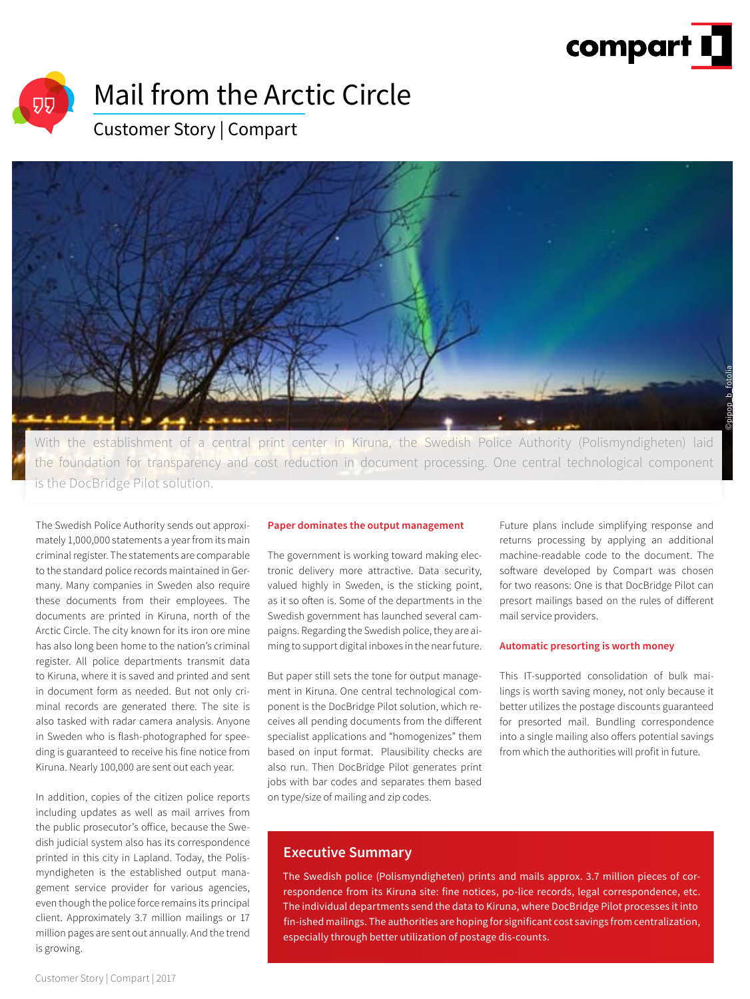



## Mail from the Arctic Circle

### Customer Story | Compart



With the establishment of a central print center in Kiruna, the Swedish Police Authority (Polismyndigheten) laid the foundation for transparency and cost reduction in document processing. One central technological component is the DocBridge Pilot solution.

The Swedish Police Authority sends out approximately 1,000,000 statements a year from its main criminal register. The statements are comparable to the standard police records maintained in Germany. Many companies in Sweden also require these documents from their employees. The documents are printed in Kiruna, north of the Arctic Circle. The city known for its iron ore mine has also long been home to the nation's criminal register. All police departments transmit data to Kiruna, where it is saved and printed and sent in document form as needed. But not only criminal records are generated there. The site is also tasked with radar camera analysis. Anyone in Sweden who is flash-photographed for speeding is guaranteed to receive his fine notice from Kiruna. Nearly 100,000 are sent out each year.

In addition, copies of the citizen police reports including updates as well as mail arrives from the public prosecutor's office, because the Swedish judicial system also has its correspondence printed in this city in Lapland. Today, the Polismyndigheten is the established output management service provider for various agencies, even though the police force remains its principal client. Approximately 3.7 million mailings or 17 million pages are sent out annually. And the trend is growing.

### **Paper dominates the output management**

The government is working toward making electronic delivery more attractive. Data security, valued highly in Sweden, is the sticking point, as it so often is. Some of the departments in the Swedish government has launched several campaigns. Regarding the Swedish police, they are aiming to support digital inboxes in the near future.

But paper still sets the tone for output management in Kiruna. One central technological component is the DocBridge Pilot solution, which receives all pending documents from the different specialist applications and "homogenizes" them based on input format. Plausibility checks are also run. Then DocBridge Pilot generates print jobs with bar codes and separates them based on type/size of mailing and zip codes.

Future plans include simplifying response and returns processing by applying an additional machine-readable code to the document. The software developed by Compart was chosen for two reasons: One is that DocBridge Pilot can presort mailings based on the rules of different mail service providers.

### **Automatic presorting is worth money**

This IT-supported consolidation of bulk mailings is worth saving money, not only because it better utilizes the postage discounts guaranteed for presorted mail. Bundling correspondence into a single mailing also offers potential savings from which the authorities will profit in future.

### **Executive Summary**

The Swedish police (Polismyndigheten) prints and mails approx. 3.7 million pieces of correspondence from its Kiruna site: fine notices, po-lice records, legal correspondence, etc. The individual departments send the data to Kiruna, where DocBridge Pilot processes it into fin-ished mailings. The authorities are hoping for significant cost savings from centralization, especially through better utilization of postage dis-counts.